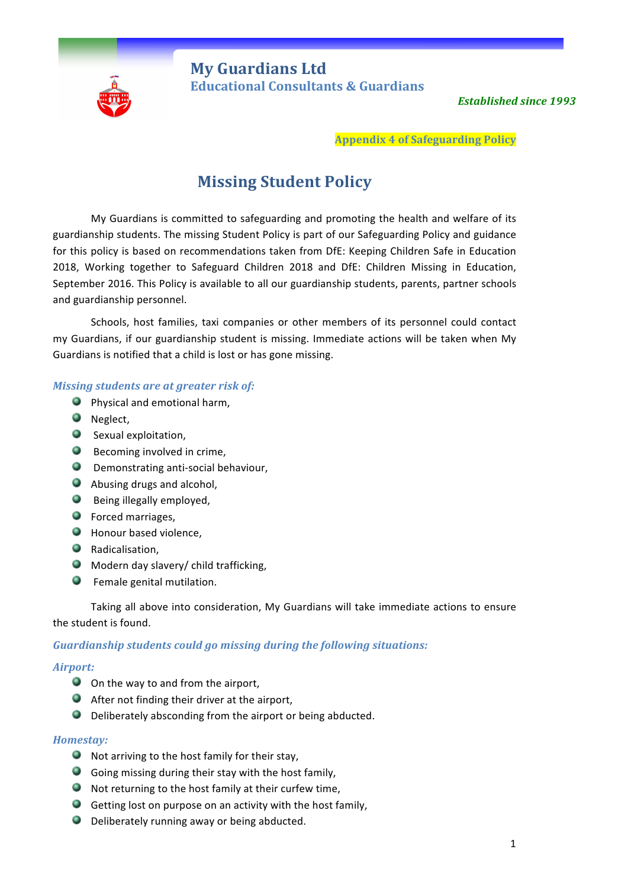

**My Guardians Ltd** **Educational Consultants & Guardians** 

**Established since 1993** 

**Appendix 4 of Safeguarding Policy**

# **Missing Student Policy**

My Guardians is committed to safeguarding and promoting the health and welfare of its guardianship students. The missing Student Policy is part of our Safeguarding Policy and guidance for this policy is based on recommendations taken from DfE: Keeping Children Safe in Education 2018, Working together to Safeguard Children 2018 and DfE: Children Missing in Education, September 2016. This Policy is available to all our guardianship students, parents, partner schools and guardianship personnel.

Schools, host families, taxi companies or other members of its personnel could contact my Guardians, if our guardianship student is missing. Immediate actions will be taken when My Guardians is notified that a child is lost or has gone missing.

# *Missing students are at greater risk of:*

- **Physical and emotional harm,**
- **O** Neglect,
- $\bullet$  Sexual exploitation,
- $\bullet$  Becoming involved in crime,
- **O** Demonstrating anti-social behaviour,
- **Abusing drugs and alcohol,**
- **Being illegally employed,**
- **O** Forced marriages,
- **Honour based violence,**
- **O** Radicalisation,
- $\bullet$  Modern day slavery/ child trafficking,
- **O** Female genital mutilation.

Taking all above into consideration, My Guardians will take immediate actions to ensure the student is found.

# *Guardianship students could go missing during the following situations:*

# *Airport:*

- O On the way to and from the airport,
- $\bullet$  After not finding their driver at the airport,
- $\bullet$  Deliberately absconding from the airport or being abducted.

# *Homestay:*

- $\bullet$  Not arriving to the host family for their stay,
- $\bullet$  Going missing during their stay with the host family,
- $\bullet$  Not returning to the host family at their curfew time,
- $\bullet$  Getting lost on purpose on an activity with the host family,
- $\bullet$  Deliberately running away or being abducted.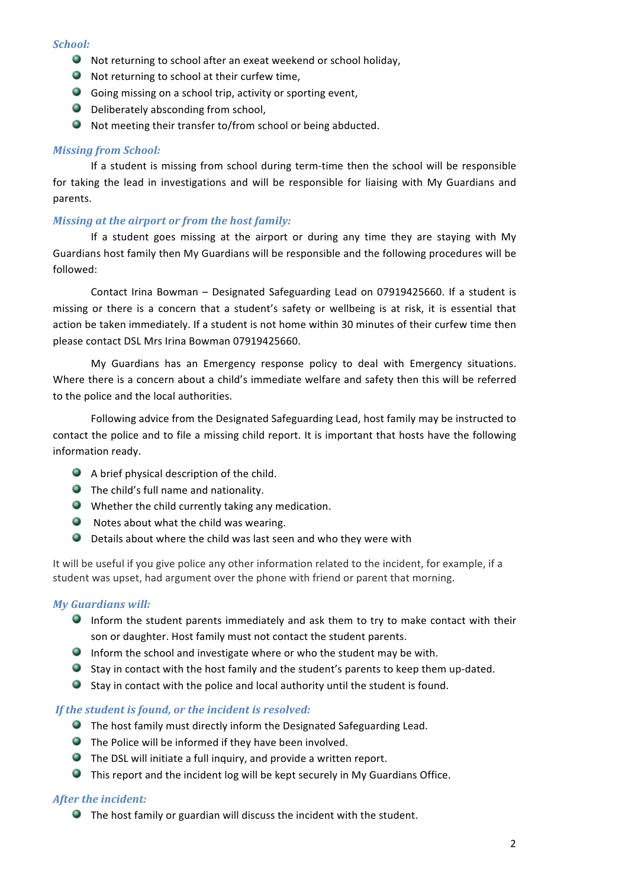#### *School:*

- $\bullet$  Not returning to school after an exeat weekend or school holiday,
- $\bullet$  Not returning to school at their curfew time,
- $\bullet$  Going missing on a school trip, activity or sporting event,
- $\bullet$  Deliberately absconding from school,
- $\bullet$  Not meeting their transfer to/from school or being abducted.

# *Missing from School:*

If a student is missing from school during term-time then the school will be responsible for taking the lead in investigations and will be responsible for liaising with My Guardians and parents. 

# *Missing at the airport or from the host family:*

If a student goes missing at the airport or during any time they are staying with My Guardians host family then My Guardians will be responsible and the following procedures will be followed: 

Contact Irina Bowman – Designated Safeguarding Lead on 07919425660. If a student is missing or there is a concern that a student's safety or wellbeing is at risk, it is essential that action be taken immediately. If a student is not home within 30 minutes of their curfew time then please contact DSL Mrs Irina Bowman 07919425660.

My Guardians has an Emergency response policy to deal with Emergency situations. Where there is a concern about a child's immediate welfare and safety then this will be referred to the police and the local authorities.

Following advice from the Designated Safeguarding Lead, host family may be instructed to contact the police and to file a missing child report. It is important that hosts have the following information ready.

- $\bullet$  A brief physical description of the child.
- $\bullet$  The child's full name and nationality.
- $\bullet$  Whether the child currently taking any medication.
- $\bullet$  Notes about what the child was wearing.
- $\bullet$  Details about where the child was last seen and who they were with

It will be useful if you give police any other information related to the incident, for example, if a student was upset, had argument over the phone with friend or parent that morning.

# *My Guardians will:*

- Inform the student parents immediately and ask them to try to make contact with their son or daughter. Host family must not contact the student parents.
- Inform the school and investigate where or who the student may be with.
- Stay in contact with the host family and the student's parents to keep them up-dated.
- $\bullet$  Stay in contact with the police and local authority until the student is found.

# If the student is found, or the incident is resolved:

- **O** The host family must directly inform the Designated Safeguarding Lead.
- $\bullet$  The Police will be informed if they have been involved.
- $\bullet$  The DSL will initiate a full inquiry, and provide a written report.
- $\bullet$  This report and the incident log will be kept securely in My Guardians Office.

# *After the incident:*

 $\bullet$  The host family or guardian will discuss the incident with the student.